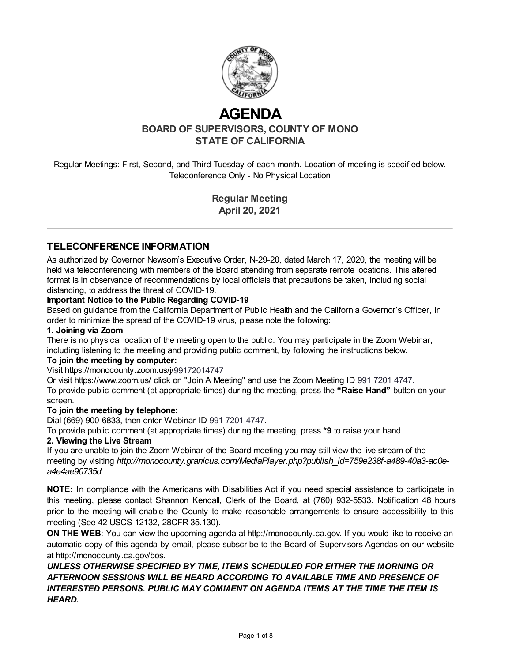

# **AGENDA**

**BOARD OF SUPERVISORS, COUNTY OF MONO STATE OF CALIFORNIA**

Regular Meetings: First, Second, and Third Tuesday of each month. Location of meeting is specified below. Teleconference Only - No Physical Location

> **Regular Meeting April 20, 2021**

## **TELECONFERENCE INFORMATION**

As authorized by Governor Newsom's Executive Order, N-29-20, dated March 17, 2020, the meeting will be held via teleconferencing with members of the Board attending from separate remote locations. This altered format is in observance of recommendations by local officials that precautions be taken, including social distancing, to address the threat of COVID-19.

#### **Important Notice to the Public Regarding COVID-19**

Based on guidance from the California Department of Public Health and the California Governor's Officer, in order to minimize the spread of the COVID-19 virus, please note the following:

#### **1. Joining via Zoom**

There is no physical location of the meeting open to the public. You may participate in the Zoom Webinar, including listening to the meeting and providing public comment, by following the instructions below.

#### **To join the meeting by computer:**

#### Visit https://monocounty.zoom.us/j/99172014747

Or visit https://www.zoom.us/ click on "Join A Meeting" and use the Zoom Meeting ID 991 7201 4747. To provide public comment (at appropriate times) during the meeting, press the **"Raise Hand"** button on your screen.

#### **To join the meeting by telephone:**

Dial (669) 900-6833, then enter Webinar ID 991 7201 4747.

To provide public comment (at appropriate times) during the meeting, press **\*9** to raise your hand.

#### **2. Viewing the Live Stream**

If you are unable to join the Zoom Webinar of the Board meeting you may still view the live stream of the meeting by visiting *http://monocounty.granicus.com/MediaPlayer.php?publish\_id=759e238f-a489-40a3-ac0ea4e4ae90735d*

**NOTE:** [In compliance with the Americans with Disabilities Act if you need special assistance to participate in](http://monocounty.granicus.com/MediaPlayer.php?publish_id=759e238f-a489-40a3-ac0e-a4e4ae90735d) this meeting, please contact Shannon Kendall, Clerk of the Board, at (760) 932-5533. Notification 48 hours prior to the meeting will enable the County to make reasonable arrangements to ensure accessibility to this meeting (See 42 USCS 12132, 28CFR 35.130).

**ON THE WEB:** You can view the upcoming agenda at [http://monocounty.ca.gov](http://monocounty.ca.gov/). If you would like to receive an automatic copy of this agenda by email, please subscribe to the Board of Supervisors Agendas on our website at<http://monocounty.ca.gov/bos>.

*UNLESS OTHERWISE SPECIFIED BY TIME, ITEMS SCHEDULED FOR EITHER THE MORNING OR AFTERNOON SESSIONS WILL BE HEARD ACCORDING TO AVAILABLE TIME AND PRESENCE OF INTERESTED PERSONS. PUBLIC MAY COMMENT ON AGENDA ITEMS AT THE TIME THE ITEM IS HEARD.*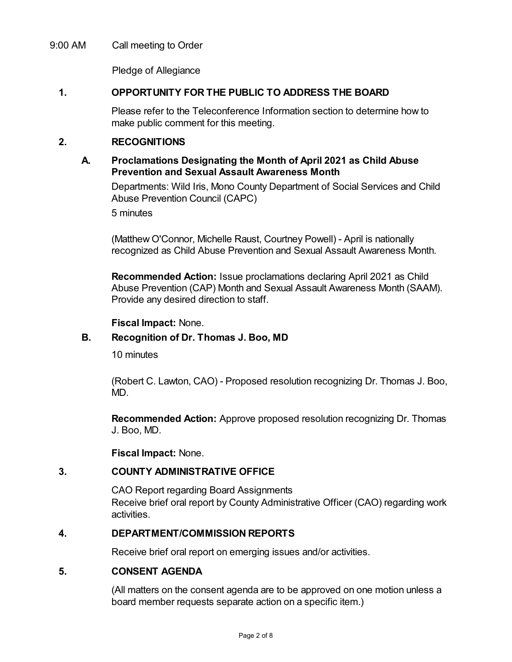## 9:00 AM Call meeting to Order

Pledge of Allegiance

## **1. OPPORTUNITY FOR THE PUBLIC TO ADDRESS THE BOARD**

Please refer to the Teleconference Information section to determine how to make public comment for this meeting.

## **2. RECOGNITIONS**

## **A. Proclamations Designating the Month of April 2021 as Child Abuse Prevention and Sexual Assault Awareness Month**

Departments: Wild Iris, Mono County Department of Social Services and Child Abuse Prevention Council (CAPC)

5 minutes

(Matthew O'Connor, Michelle Raust, Courtney Powell) - April is nationally recognized as Child Abuse Prevention and Sexual Assault Awareness Month.

**Recommended Action:** Issue proclamations declaring April 2021 as Child Abuse Prevention (CAP) Month and Sexual Assault Awareness Month (SAAM). Provide any desired direction to staff.

#### **Fiscal Impact:** None.

## **B. Recognition of Dr. Thomas J. Boo, MD**

10 minutes

(Robert C. Lawton, CAO) - Proposed resolution recognizing Dr. Thomas J. Boo, MD.

**Recommended Action:** Approve proposed resolution recognizing Dr. Thomas J. Boo, MD.

**Fiscal Impact:** None.

#### **3. COUNTY ADMINISTRATIVE OFFICE**

CAO Report regarding Board Assignments Receive brief oral report by County Administrative Officer (CAO) regarding work activities.

# **4. DEPARTMENT/COMMISSION REPORTS**

Receive brief oral report on emerging issues and/or activities.

# **5. CONSENT AGENDA**

(All matters on the consent agenda are to be approved on one motion unless a board member requests separate action on a specific item.)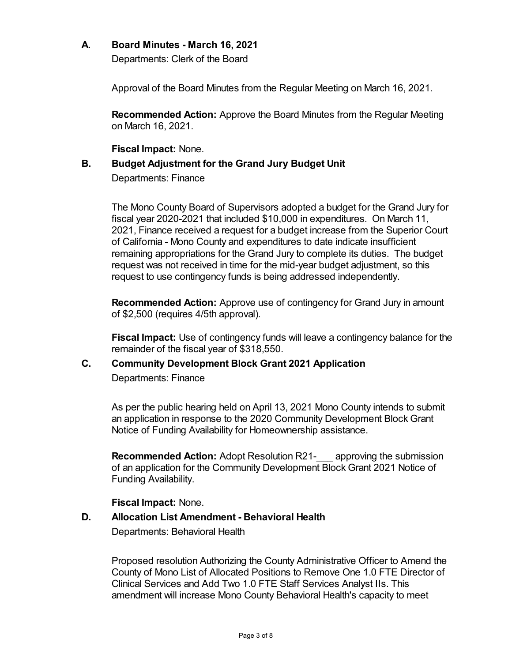## **A. Board Minutes - March 16, 2021**

Departments: Clerk of the Board

Approval of the Board Minutes from the Regular Meeting on March 16, 2021.

**Recommended Action:** Approve the Board Minutes from the Regular Meeting on March 16, 2021.

**Fiscal Impact:** None.

# **B. Budget Adjustment for the Grand Jury Budget Unit**

Departments: Finance

The Mono County Board of Supervisors adopted a budget for the Grand Jury for fiscal year 2020-2021 that included \$10,000 in expenditures. On March 11, 2021, Finance received a request for a budget increase from the Superior Court of California - Mono County and expenditures to date indicate insufficient remaining appropriations for the Grand Jury to complete its duties. The budget request was not received in time for the mid-year budget adjustment, so this request to use contingency funds is being addressed independently.

**Recommended Action:** Approve use of contingency for Grand Jury in amount of \$2,500 (requires 4/5th approval).

**Fiscal Impact:** Use of contingency funds will leave a contingency balance for the remainder of the fiscal year of \$318,550.

# **C. Community Development Block Grant 2021 Application** Departments: Finance

As per the public hearing held on April 13, 2021 Mono County intends to submit an application in response to the 2020 Community Development Block Grant Notice of Funding Availability for Homeownership assistance.

**Recommended Action:** Adopt Resolution R21- approving the submission of an application for the Community Development Block Grant 2021 Notice of Funding Availability.

## **Fiscal Impact:** None.

# **D. Allocation List Amendment - Behavioral Health**

Departments: Behavioral Health

Proposed resolution Authorizing the County Administrative Officer to Amend the County of Mono List of Allocated Positions to Remove One 1.0 FTE Director of Clinical Services and Add Two 1.0 FTE Staff Services Analyst IIs. This amendment will increase Mono County Behavioral Health's capacity to meet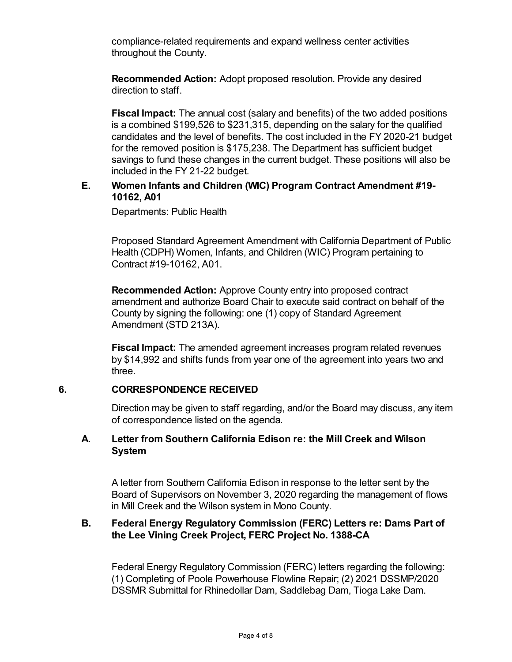compliance-related requirements and expand wellness center activities throughout the County.

**Recommended Action:** Adopt proposed resolution. Provide any desired direction to staff.

**Fiscal Impact:** The annual cost (salary and benefits) of the two added positions is a combined \$199,526 to \$231,315, depending on the salary for the qualified candidates and the level of benefits. The cost included in the FY 2020-21 budget for the removed position is \$175,238. The Department has sufficient budget savings to fund these changes in the current budget. These positions will also be included in the FY 21-22 budget.

## **E. Women Infants and Children (WIC) Program Contract Amendment #19- 10162, A01**

Departments: Public Health

Proposed Standard Agreement Amendment with California Department of Public Health (CDPH) Women, Infants, and Children (WIC) Program pertaining to Contract #19-10162, A01.

**Recommended Action:** Approve County entry into proposed contract amendment and authorize Board Chair to execute said contract on behalf of the County by signing the following: one (1) copy of Standard Agreement Amendment (STD 213A).

**Fiscal Impact:** The amended agreement increases program related revenues by \$14,992 and shifts funds from year one of the agreement into years two and three.

## **6. CORRESPONDENCE RECEIVED**

Direction may be given to staff regarding, and/or the Board may discuss, any item of correspondence listed on the agenda.

## **A. Letter from Southern California Edison re: the Mill Creek and Wilson System**

A letter from Southern California Edison in response to the letter sent by the Board of Supervisors on November 3, 2020 regarding the management of flows in Mill Creek and the Wilson system in Mono County.

## **B. Federal Energy Regulatory Commission (FERC) Letters re: Dams Part of the Lee Vining Creek Project, FERC Project No. 1388-CA**

Federal Energy Regulatory Commission (FERC) letters regarding the following: (1) Completing of Poole Powerhouse Flowline Repair; (2) 2021 DSSMP/2020 DSSMR Submittal for Rhinedollar Dam, Saddlebag Dam, Tioga Lake Dam.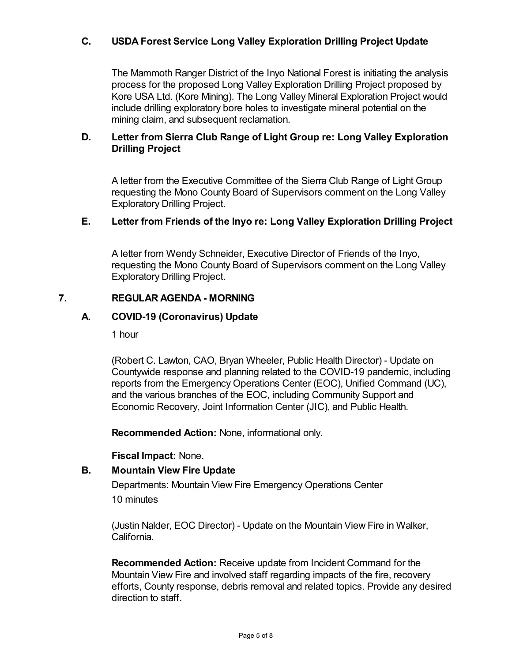# **C. USDA Forest Service Long Valley Exploration Drilling Project Update**

The Mammoth Ranger District of the Inyo National Forest is initiating the analysis process for the proposed Long Valley Exploration Drilling Project proposed by Kore USA Ltd. (Kore Mining). The Long Valley Mineral Exploration Project would include drilling exploratory bore holes to investigate mineral potential on the mining claim, and subsequent reclamation.

## **D. Letter from Sierra Club Range of Light Group re: Long Valley Exploration Drilling Project**

A letter from the Executive Committee of the Sierra Club Range of Light Group requesting the Mono County Board of Supervisors comment on the Long Valley Exploratory Drilling Project.

## **E. Letter from Friends of the Inyo re: Long Valley Exploration Drilling Project**

A letter from Wendy Schneider, Executive Director of Friends of the Inyo, requesting the Mono County Board of Supervisors comment on the Long Valley Exploratory Drilling Project.

## **7. REGULAR AGENDA - MORNING**

## **A. COVID-19 (Coronavirus) Update**

1 hour

(Robert C. Lawton, CAO, Bryan Wheeler, Public Health Director) - Update on Countywide response and planning related to the COVID-19 pandemic, including reports from the Emergency Operations Center (EOC), Unified Command (UC), and the various branches of the EOC, including Community Support and Economic Recovery, Joint Information Center (JIC), and Public Health.

**Recommended Action:** None, informational only.

**Fiscal Impact:** None.

#### **B. Mountain View Fire Update**

Departments: Mountain View Fire Emergency Operations Center 10 minutes

(Justin Nalder, EOC Director) - Update on the Mountain View Fire in Walker, California.

**Recommended Action:** Receive update from Incident Command for the Mountain View Fire and involved staff regarding impacts of the fire, recovery efforts, County response, debris removal and related topics. Provide any desired direction to staff.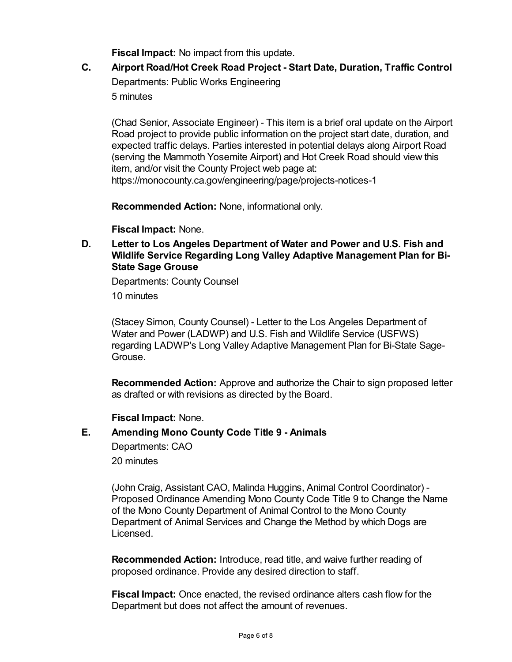**Fiscal Impact:** No impact from this update.

**C. Airport Road/Hot Creek Road Project - Start Date, Duration, Traffic Control** Departments: Public Works Engineering 5 minutes

(Chad Senior, Associate Engineer) - This item is a brief oral update on the Airport Road project to provide public information on the project start date, duration, and expected traffic delays. Parties interested in potential delays along Airport Road (serving the Mammoth Yosemite Airport) and Hot Creek Road should view this item, and/or visit the County Project web page at: https://monocounty.ca.gov/engineering/page/projects-notices-1

**Recommended Action:** None, informational only.

**Fiscal Impact:** None.

**D. Letter to Los Angeles Department of Water and Power and U.S. Fish and Wildlife Service Regarding Long Valley Adaptive Management Plan for Bi-State Sage Grouse**

Departments: County Counsel

10 minutes

(Stacey Simon, County Counsel) - Letter to the Los Angeles Department of Water and Power (LADWP) and U.S. Fish and Wildlife Service (USFWS) regarding LADWP's Long Valley Adaptive Management Plan for Bi-State Sage-Grouse.

**Recommended Action:** Approve and authorize the Chair to sign proposed letter as drafted or with revisions as directed by the Board.

## **Fiscal Impact:** None.

#### **E. Amending Mono County Code Title 9 - Animals**

Departments: CAO

20 minutes

(John Craig, Assistant CAO, Malinda Huggins, Animal Control Coordinator) - Proposed Ordinance Amending Mono County Code Title 9 to Change the Name of the Mono County Department of Animal Control to the Mono County Department of Animal Services and Change the Method by which Dogs are Licensed.

**Recommended Action:** Introduce, read title, and waive further reading of proposed ordinance. Provide any desired direction to staff.

**Fiscal Impact:** Once enacted, the revised ordinance alters cash flow for the Department but does not affect the amount of revenues.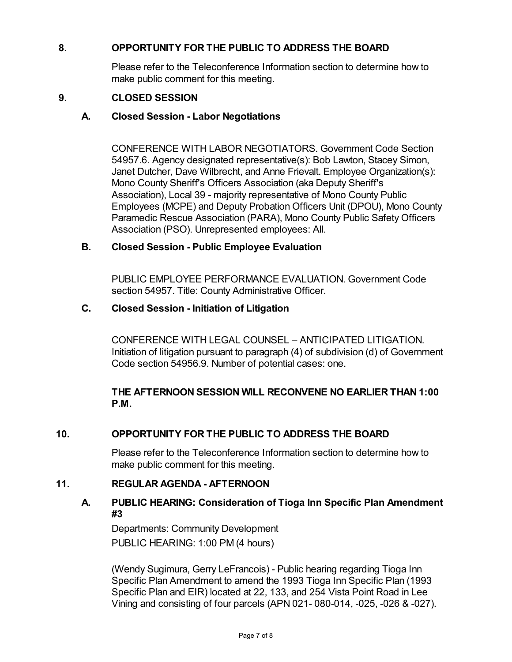## **8. OPPORTUNITY FOR THE PUBLIC TO ADDRESS THE BOARD**

Please refer to the Teleconference Information section to determine how to make public comment for this meeting.

## **9. CLOSED SESSION**

## **A. Closed Session - Labor Negotiations**

CONFERENCE WITH LABOR NEGOTIATORS. Government Code Section 54957.6. Agency designated representative(s): Bob Lawton, Stacey Simon, Janet Dutcher, Dave Wilbrecht, and Anne Frievalt. Employee Organization(s): Mono County Sheriff's Officers Association (aka Deputy Sheriff's Association), Local 39 - majority representative of Mono County Public Employees (MCPE) and Deputy Probation Officers Unit (DPOU), Mono County Paramedic Rescue Association (PARA), Mono County Public Safety Officers Association (PSO). Unrepresented employees: All.

## **B. Closed Session - Public Employee Evaluation**

PUBLIC EMPLOYEE PERFORMANCE EVALUATION. Government Code section 54957. Title: County Administrative Officer.

## **C. Closed Session - Initiation of Litigation**

CONFERENCE WITH LEGAL COUNSEL – ANTICIPATED LITIGATION. Initiation of litigation pursuant to paragraph (4) of subdivision (d) of Government Code section 54956.9. Number of potential cases: one.

## **THE AFTERNOON SESSION WILL RECONVENE NO EARLIER THAN 1:00 P.M.**

## **10. OPPORTUNITY FOR THE PUBLIC TO ADDRESS THE BOARD**

Please refer to the Teleconference Information section to determine how to make public comment for this meeting.

#### **11. REGULAR AGENDA - AFTERNOON**

## **A. PUBLIC HEARING: Consideration of Tioga Inn Specific Plan Amendment #3**

Departments: Community Development PUBLIC HEARING: 1:00 PM (4 hours)

(Wendy Sugimura, Gerry LeFrancois) - Public hearing regarding Tioga Inn Specific Plan Amendment to amend the 1993 Tioga Inn Specific Plan (1993 Specific Plan and EIR) located at 22, 133, and 254 Vista Point Road in Lee Vining and consisting of four parcels (APN 021- 080-014, -025, -026 & -027).